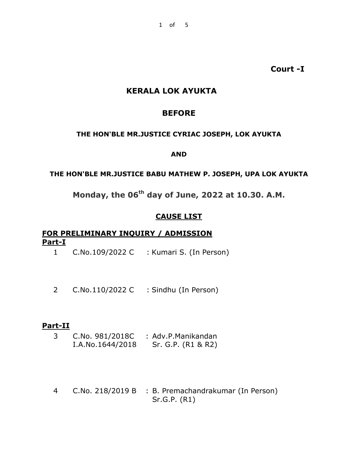**Court -I**

# **KERALA LOK AYUKTA**

#### **BEFORE**

#### **THE HON'BLE MR.JUSTICE CYRIAC JOSEPH, LOK AYUKTA**

#### **AND**

#### **THE HON'BLE MR.JUSTICE BABU MATHEW P. JOSEPH, UPA LOK AYUKTA**

# **Monday, the 06th day of June, 2022 at 10.30. A.M.**

#### **CAUSE LIST**

# **FOR PRELIMINARY INQUIRY / ADMISSION Part-I**

- 1 C.No.109/2022 C : Kumari S. (In Person)
- 2 C.No.110/2022 C : Sindhu (In Person)

# **Part-II**

- 3 C.No. 981/2018C : Adv.P.Manikandan I.A.No.1644/2018 Sr. G.P. (R1 & R2)
- 4 C.No. 218/2019 B : B. Premachandrakumar (In Person) Sr.G.P. (R1)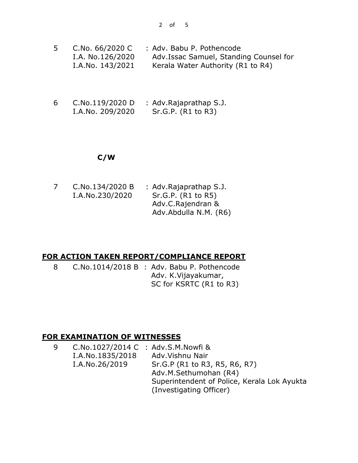| C.No. 66/2020 C  | : Adv. Babu P. Pothencode              |
|------------------|----------------------------------------|
| I.A. No.126/2020 | Adv.Issac Samuel, Standing Counsel for |
| I.A.No. 143/2021 | Kerala Water Authority (R1 to R4)      |

6 C.No.119/2020 D I.A.No. 209/2020 : Adv.Rajaprathap S.J. Sr.G.P. (R1 to R3)

### **C/W**

7 C.No.134/2020 B I.A.No.230/2020 : Adv.Rajaprathap S.J. Sr.G.P. (R1 to R5) Adv.C.Rajendran & Adv.Abdulla N.M. (R6)

### **FOR ACTION TAKEN REPORT/COMPLIANCE REPORT**

8 C.No.1014/2018 B : Adv. Babu P. Pothencode Adv. K.Vijayakumar, SC for KSRTC (R1 to R3)

### **FOR EXAMINATION OF WITNESSES**

| 9 | C.No.1027/2014 C : Adv.S.M.Nowfi & |                                             |
|---|------------------------------------|---------------------------------------------|
|   | I.A.No.1835/2018                   | Adv. Vishnu Nair                            |
|   | I.A.No.26/2019                     | Sr.G.P (R1 to R3, R5, R6, R7)               |
|   |                                    | Adv.M.Sethumohan (R4)                       |
|   |                                    | Superintendent of Police, Kerala Lok Ayukta |
|   |                                    | (Investigating Officer)                     |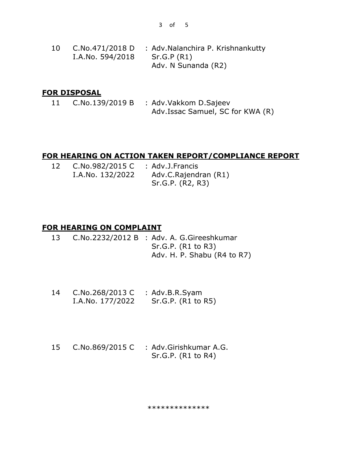3 of 5

10 C.No.471/2018 D : Adv.Nalanchira P. Krishnankutty I.A.No. 594/2018 Sr.G.P (R1) Adv. N Sunanda (R2)

#### **FOR DISPOSAL**

11 C.No.139/2019 B : Adv.Vakkom D.Sajeev Adv.Issac Samuel, SC for KWA (R)

#### **FOR HEARING ON ACTION TAKEN REPORT/COMPLIANCE REPORT**

| 12 | C.No.982/2015 C  | : Adv.J.Francis      |
|----|------------------|----------------------|
|    | I.A.No. 132/2022 | Adv.C.Rajendran (R1) |
|    |                  | Sr.G.P. (R2, R3)     |

### **FOR HEARING ON COMPLAINT**

- 13 C.No.2232/2012 B : Adv. A. G.Gireeshkumar Sr.G.P. (R1 to R3) Adv. H. P. Shabu (R4 to R7)
- 14 C.No.268/2013 C : Adv.B.R.Syam I.A.No. 177/2022 Sr.G.P. (R1 to R5)
- 15 C.No.869/2015 C : Adv.Girishkumar A.G. Sr.G.P. (R1 to R4)

\*\*\*\*\*\*\*\*\*\*\*\*\*\*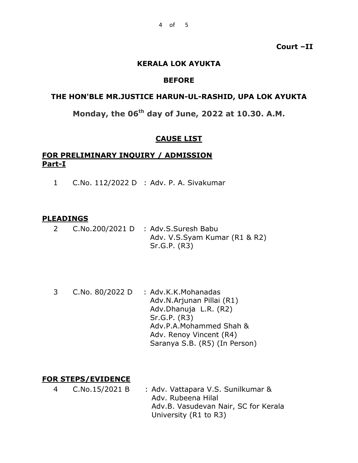**Court –II**

#### **KERALA LOK AYUKTA**

#### **BEFORE**

#### **THE HON'BLE MR.JUSTICE HARUN-UL-RASHID, UPA LOK AYUKTA**

# **Monday, the 06th day of June, 2022 at 10.30. A.M.**

### **CAUSE LIST**

#### **FOR PRELIMINARY INQUIRY / ADMISSION Part-I**

1 C.No. 112/2022 D : Adv. P. A. Sivakumar

#### **PLEADINGS**

- 2 C.No.200/2021 D : Adv.S.Suresh Babu Adv. V.S.Syam Kumar (R1 & R2) Sr.G.P. (R3)
- 3 C.No. 80/2022 D : Adv.K.K.Mohanadas Adv.N.Arjunan Pillai (R1) Adv.Dhanuja L.R. (R2) Sr.G.P. (R3) Adv.P.A.Mohammed Shah & Adv. Renoy Vincent (R4) Saranya S.B. (R5) (In Person)

### **FOR STEPS/EVIDENCE**

4 C.No.15/2021 B : Adv. Vattapara V.S. Sunilkumar & Adv. Rubeena Hilal Adv.B. Vasudevan Nair, SC for Kerala University (R1 to R3)